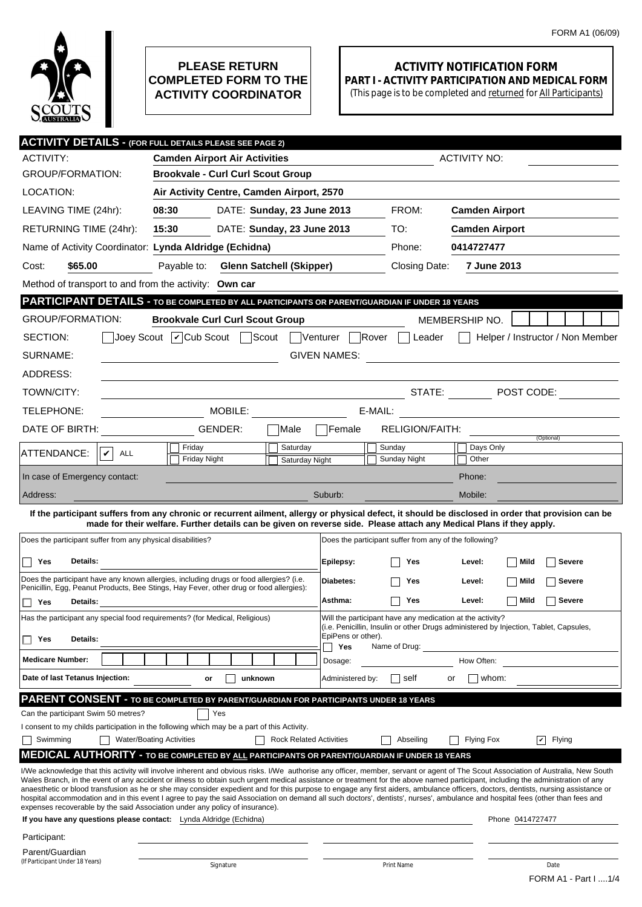

## **PLEASE RETURN COMPLETED FORM TO THE ACTIVITY COORDINATOR**

## **ACTIVITY NOTIFICATION FORM PART I - ACTIVITY PARTICIPATION AND MEDICAL FORM**

(This page is to be completed and returned for All Participants)

| <b>ACTIVITY DETAILS - (FOR FULL DETAILS PLEASE SEE PAGE 2)</b>                                                                                                                                                                                                                                                                                                                                                                                                                                                                                               |                                                                                                                                                                                |                                 |                           |                                                           |                       |                                                                                                                                                     |  |  |  |  |
|--------------------------------------------------------------------------------------------------------------------------------------------------------------------------------------------------------------------------------------------------------------------------------------------------------------------------------------------------------------------------------------------------------------------------------------------------------------------------------------------------------------------------------------------------------------|--------------------------------------------------------------------------------------------------------------------------------------------------------------------------------|---------------------------------|---------------------------|-----------------------------------------------------------|-----------------------|-----------------------------------------------------------------------------------------------------------------------------------------------------|--|--|--|--|
| <b>ACTIVITY:</b>                                                                                                                                                                                                                                                                                                                                                                                                                                                                                                                                             | <b>Camden Airport Air Activities</b>                                                                                                                                           |                                 |                           |                                                           | <b>ACTIVITY NO:</b>   |                                                                                                                                                     |  |  |  |  |
| <b>GROUP/FORMATION:</b>                                                                                                                                                                                                                                                                                                                                                                                                                                                                                                                                      | <b>Brookvale - Curl Curl Scout Group</b>                                                                                                                                       |                                 |                           |                                                           |                       |                                                                                                                                                     |  |  |  |  |
| LOCATION:                                                                                                                                                                                                                                                                                                                                                                                                                                                                                                                                                    | Air Activity Centre, Camden Airport, 2570                                                                                                                                      |                                 |                           |                                                           |                       |                                                                                                                                                     |  |  |  |  |
| LEAVING TIME (24hr):                                                                                                                                                                                                                                                                                                                                                                                                                                                                                                                                         | 08:30<br>DATE: Sunday, 23 June 2013                                                                                                                                            |                                 | FROM:                     | <b>Camden Airport</b>                                     |                       |                                                                                                                                                     |  |  |  |  |
| RETURNING TIME (24hr):                                                                                                                                                                                                                                                                                                                                                                                                                                                                                                                                       | 15:30<br>DATE: Sunday, 23 June 2013                                                                                                                                            |                                 |                           | TO:                                                       | <b>Camden Airport</b> |                                                                                                                                                     |  |  |  |  |
| Name of Activity Coordinator: Lynda Aldridge (Echidna)                                                                                                                                                                                                                                                                                                                                                                                                                                                                                                       |                                                                                                                                                                                |                                 |                           | Phone:                                                    | 0414727477            |                                                                                                                                                     |  |  |  |  |
| \$65.00<br>Cost:                                                                                                                                                                                                                                                                                                                                                                                                                                                                                                                                             | Payable to:                                                                                                                                                                    | <b>Glenn Satchell (Skipper)</b> |                           |                                                           |                       | 7 June 2013                                                                                                                                         |  |  |  |  |
| Method of transport to and from the activity: Own car                                                                                                                                                                                                                                                                                                                                                                                                                                                                                                        |                                                                                                                                                                                |                                 |                           |                                                           |                       |                                                                                                                                                     |  |  |  |  |
| PARTICIPANT DETAILS - TO BE COMPLETED BY ALL PARTICIPANTS OR PARENT/GUARDIAN IF UNDER 18 YEARS                                                                                                                                                                                                                                                                                                                                                                                                                                                               |                                                                                                                                                                                |                                 |                           |                                                           |                       |                                                                                                                                                     |  |  |  |  |
| <b>GROUP/FORMATION:</b>                                                                                                                                                                                                                                                                                                                                                                                                                                                                                                                                      | <b>Brookvale Curl Curl Scout Group</b><br>MEMBERSHIP NO.                                                                                                                       |                                 |                           |                                                           |                       |                                                                                                                                                     |  |  |  |  |
| SECTION:                                                                                                                                                                                                                                                                                                                                                                                                                                                                                                                                                     | Scout <sup>[</sup><br>Joey Scout $\vert \mathbf{v} \vert$ Cub Scout                                                                                                            |                                 | Venturer                  | Rover<br>Leader                                           |                       | Helper / Instructor / Non Member                                                                                                                    |  |  |  |  |
| SURNAME:<br><b>GIVEN NAMES:</b><br><u> 1989 - Johann Stoff, Amerikaansk politiker (</u>                                                                                                                                                                                                                                                                                                                                                                                                                                                                      |                                                                                                                                                                                |                                 |                           |                                                           |                       |                                                                                                                                                     |  |  |  |  |
| ADDRESS:                                                                                                                                                                                                                                                                                                                                                                                                                                                                                                                                                     |                                                                                                                                                                                |                                 |                           |                                                           |                       |                                                                                                                                                     |  |  |  |  |
| TOWN/CITY:                                                                                                                                                                                                                                                                                                                                                                                                                                                                                                                                                   |                                                                                                                                                                                |                                 |                           | STATE:                                                    |                       | $\blacksquare$ POST CODE:                                                                                                                           |  |  |  |  |
| TELEPHONE:                                                                                                                                                                                                                                                                                                                                                                                                                                                                                                                                                   | MOBILE: WARD THE STATE OF THE STATE OF THE STATE OF THE STATE OF THE STATE OF THE STATE OF THE STATE OF THE ST<br>E-MAIL:<br><u> 1989 - Andrea State Barbara, amerikan per</u> |                                 |                           |                                                           |                       |                                                                                                                                                     |  |  |  |  |
| DATE OF BIRTH:                                                                                                                                                                                                                                                                                                                                                                                                                                                                                                                                               | GENDER:                                                                                                                                                                        | Male                            | Female                    | <b>RELIGION/FAITH:</b>                                    |                       |                                                                                                                                                     |  |  |  |  |
| ATTENDANCE:<br>V<br>ALL                                                                                                                                                                                                                                                                                                                                                                                                                                                                                                                                      | Friday                                                                                                                                                                         | Saturday                        |                           | Sunday                                                    | Days Only             | (Optional)                                                                                                                                          |  |  |  |  |
|                                                                                                                                                                                                                                                                                                                                                                                                                                                                                                                                                              | <b>Friday Night</b>                                                                                                                                                            | Saturday Night                  |                           | Sunday Night                                              | Other                 |                                                                                                                                                     |  |  |  |  |
| In case of Emergency contact:                                                                                                                                                                                                                                                                                                                                                                                                                                                                                                                                |                                                                                                                                                                                |                                 |                           |                                                           | Phone:                |                                                                                                                                                     |  |  |  |  |
| Address:                                                                                                                                                                                                                                                                                                                                                                                                                                                                                                                                                     |                                                                                                                                                                                |                                 | Suburb:                   |                                                           | Mobile:               |                                                                                                                                                     |  |  |  |  |
|                                                                                                                                                                                                                                                                                                                                                                                                                                                                                                                                                              | made for their welfare. Further details can be given on reverse side. Please attach any Medical Plans if they apply.                                                           |                                 |                           |                                                           |                       | If the participant suffers from any chronic or recurrent ailment, allergy or physical defect, it should be disclosed in order that provision can be |  |  |  |  |
| Does the participant suffer from any physical disabilities?                                                                                                                                                                                                                                                                                                                                                                                                                                                                                                  |                                                                                                                                                                                |                                 |                           | Does the participant suffer from any of the following?    |                       |                                                                                                                                                     |  |  |  |  |
| Details:<br>Yes                                                                                                                                                                                                                                                                                                                                                                                                                                                                                                                                              |                                                                                                                                                                                |                                 |                           | Yes                                                       | Level:                | Mild<br>Severe                                                                                                                                      |  |  |  |  |
| Does the participant have any known allergies, including drugs or food allergies? (i.e.                                                                                                                                                                                                                                                                                                                                                                                                                                                                      |                                                                                                                                                                                |                                 |                           |                                                           |                       | <b>Severe</b>                                                                                                                                       |  |  |  |  |
| Penicillin, Egg, Peanut Products, Bee Stings, Hay Fever, other drug or food allergies):                                                                                                                                                                                                                                                                                                                                                                                                                                                                      |                                                                                                                                                                                |                                 |                           | Yes                                                       | Level:                | Mild                                                                                                                                                |  |  |  |  |
| Details:<br>П<br>Yes                                                                                                                                                                                                                                                                                                                                                                                                                                                                                                                                         | Asthma:                                                                                                                                                                        | Yes                             | Level:                    | Mild<br><b>Severe</b>                                     |                       |                                                                                                                                                     |  |  |  |  |
| Has the participant any special food requirements? (for Medical, Religious)                                                                                                                                                                                                                                                                                                                                                                                                                                                                                  |                                                                                                                                                                                |                                 |                           | Will the participant have any medication at the activity? |                       | (i.e. Penicillin, Insulin or other Drugs administered by Injection, Tablet, Capsules,                                                               |  |  |  |  |
| Details:<br>Yes                                                                                                                                                                                                                                                                                                                                                                                                                                                                                                                                              |                                                                                                                                                                                |                                 | EpiPens or other).<br>Yes | Name of Drug:                                             |                       |                                                                                                                                                     |  |  |  |  |
| <b>Medicare Number:</b>                                                                                                                                                                                                                                                                                                                                                                                                                                                                                                                                      |                                                                                                                                                                                |                                 | Dosage:                   |                                                           | How Often:            |                                                                                                                                                     |  |  |  |  |
| Date of last Tetanus Injection:                                                                                                                                                                                                                                                                                                                                                                                                                                                                                                                              | unknown<br>or                                                                                                                                                                  |                                 | Administered by:          | self                                                      | or                    | whom:                                                                                                                                               |  |  |  |  |
| PARENT CONSENT - TO BE COMPLETED BY PARENT/GUARDIAN FOR PARTICIPANTS UNDER 18 YEARS                                                                                                                                                                                                                                                                                                                                                                                                                                                                          |                                                                                                                                                                                |                                 |                           |                                                           |                       |                                                                                                                                                     |  |  |  |  |
| Can the participant Swim 50 metres?                                                                                                                                                                                                                                                                                                                                                                                                                                                                                                                          | Yes                                                                                                                                                                            |                                 |                           |                                                           |                       |                                                                                                                                                     |  |  |  |  |
| I consent to my childs participation in the following which may be a part of this Activity.<br>Swimming                                                                                                                                                                                                                                                                                                                                                                                                                                                      | <b>Water/Boating Activities</b>                                                                                                                                                | <b>Rock Related Activities</b>  |                           | Abseiling                                                 | Flying Fox            | Flying<br>$ \boldsymbol{v} $                                                                                                                        |  |  |  |  |
| <b>MEDICAL AUTHORITY - TO BE COMPLETED BY ALL PARTICIPANTS OR PARENT/GUARDIAN IF UNDER 18 YEARS</b>                                                                                                                                                                                                                                                                                                                                                                                                                                                          |                                                                                                                                                                                |                                 |                           |                                                           |                       |                                                                                                                                                     |  |  |  |  |
|                                                                                                                                                                                                                                                                                                                                                                                                                                                                                                                                                              |                                                                                                                                                                                |                                 |                           |                                                           |                       |                                                                                                                                                     |  |  |  |  |
| I/We acknowledge that this activity will involve inherent and obvious risks. I/We authorise any officer, member, servant or agent of The Scout Association of Australia, New South<br>Wales Branch, in the event of any accident or illness to obtain such urgent medical assistance or treatment for the above named participant, including the administration of any<br>anaesthetic or blood transfusion as he or she may consider expedient and for this purpose to engage any first aiders, ambulance officers, doctors, dentists, nursing assistance or |                                                                                                                                                                                |                                 |                           |                                                           |                       |                                                                                                                                                     |  |  |  |  |
| hospital accommodation and in this event I agree to pay the said Association on demand all such doctors', dentists', nurses', ambulance and hospital fees (other than fees and                                                                                                                                                                                                                                                                                                                                                                               |                                                                                                                                                                                |                                 |                           |                                                           |                       |                                                                                                                                                     |  |  |  |  |
| expenses recoverable by the said Association under any policy of insurance).<br>If you have any questions please contact: Lynda Aldridge (Echidna)<br>Phone 0414727477                                                                                                                                                                                                                                                                                                                                                                                       |                                                                                                                                                                                |                                 |                           |                                                           |                       |                                                                                                                                                     |  |  |  |  |
| Participant:                                                                                                                                                                                                                                                                                                                                                                                                                                                                                                                                                 |                                                                                                                                                                                |                                 |                           |                                                           |                       |                                                                                                                                                     |  |  |  |  |
| Parent/Guardian                                                                                                                                                                                                                                                                                                                                                                                                                                                                                                                                              |                                                                                                                                                                                |                                 |                           |                                                           |                       |                                                                                                                                                     |  |  |  |  |
| (If Participant Under 18 Years)                                                                                                                                                                                                                                                                                                                                                                                                                                                                                                                              | Signature                                                                                                                                                                      |                                 |                           | Print Name                                                |                       | Date<br>FORM A1 - Part I 1/4                                                                                                                        |  |  |  |  |